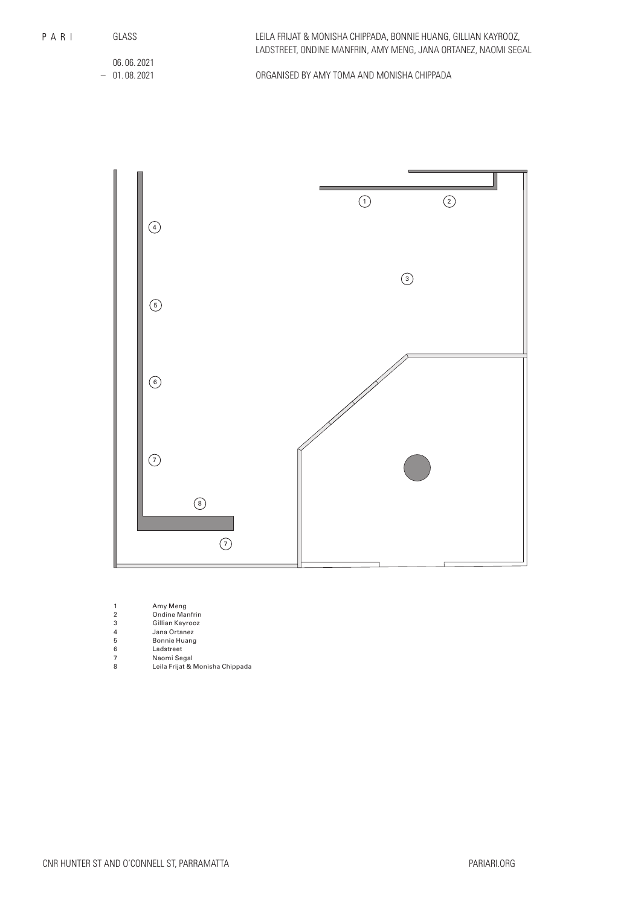GLASS

06. 06. 2021 – 01. 08. 2021

ORGANISED BY AMY TOMA AND MONISHA CHIPPADA



| Amy Meng |  |  |
|----------|--|--|
|----------|--|--|

- 2 Ondine Manfrin
- 3 Gillian Kayrooz 4 Jana Ortanez
- 
- 5 Bonnie Huang<br>6 Ladstreet<br>7 Naomi Segal 6 Ladstreet
- 7 Naomi Segal
- 8 Leila Frijat & Monisha Chippada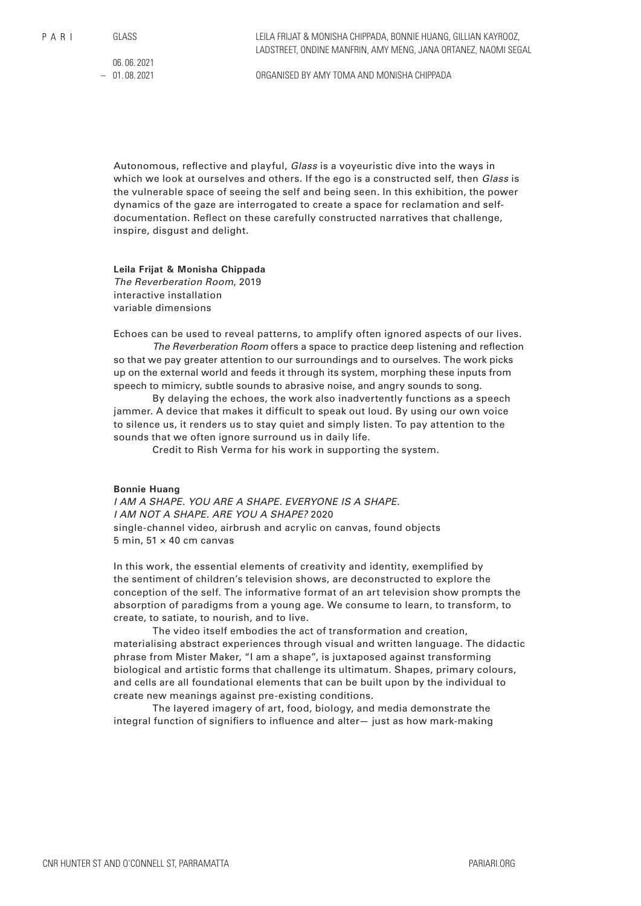06. 06. 2021  $-01.08.2021$ 

ORGANISED BY AMY TOMA AND MONISHA CHIPPADA

Autonomous, reflective and playful, *Glass* is a voyeuristic dive into the ways in which we look at ourselves and others. If the ego is a constructed self, then *Glass* is the vulnerable space of seeing the self and being seen. In this exhibition, the power dynamics of the gaze are interrogated to create a space for reclamation and selfdocumentation. Reflect on these carefully constructed narratives that challenge, inspire, disgust and delight.

**Leila Frijat & Monisha Chippada** *The Reverberation Room*, 2019 interactive installation variable dimensions

Echoes can be used to reveal patterns, to amplify often ignored aspects of our lives.

*The Reverberation Room* offers a space to practice deep listening and reflection so that we pay greater attention to our surroundings and to ourselves. The work picks up on the external world and feeds it through its system, morphing these inputs from speech to mimicry, subtle sounds to abrasive noise, and angry sounds to song.

By delaying the echoes, the work also inadvertently functions as a speech jammer. A device that makes it difficult to speak out loud. By using our own voice to silence us, it renders us to stay quiet and simply listen. To pay attention to the sounds that we often ignore surround us in daily life.

Credit to Rish Verma for his work in supporting the system.

#### **Bonnie Huang**

*I AM A SHAPE. YOU ARE A SHAPE. EVERYONE IS A SHAPE. I AM NOT A SHAPE. ARE YOU A SHAPE?* 2020 single-channel video, airbrush and acrylic on canvas, found objects 5 min,  $51 \times 40$  cm canvas

In this work, the essential elements of creativity and identity, exemplified by the sentiment of children's television shows, are deconstructed to explore the conception of the self. The informative format of an art television show prompts the absorption of paradigms from a young age. We consume to learn, to transform, to create, to satiate, to nourish, and to live.

The video itself embodies the act of transformation and creation, materialising abstract experiences through visual and written language. The didactic phrase from Mister Maker, "I am a shape", is juxtaposed against transforming biological and artistic forms that challenge its ultimatum. Shapes, primary colours, and cells are all foundational elements that can be built upon by the individual to create new meanings against pre-existing conditions.

The layered imagery of art, food, biology, and media demonstrate the integral function of signifiers to influence and alter— just as how mark-making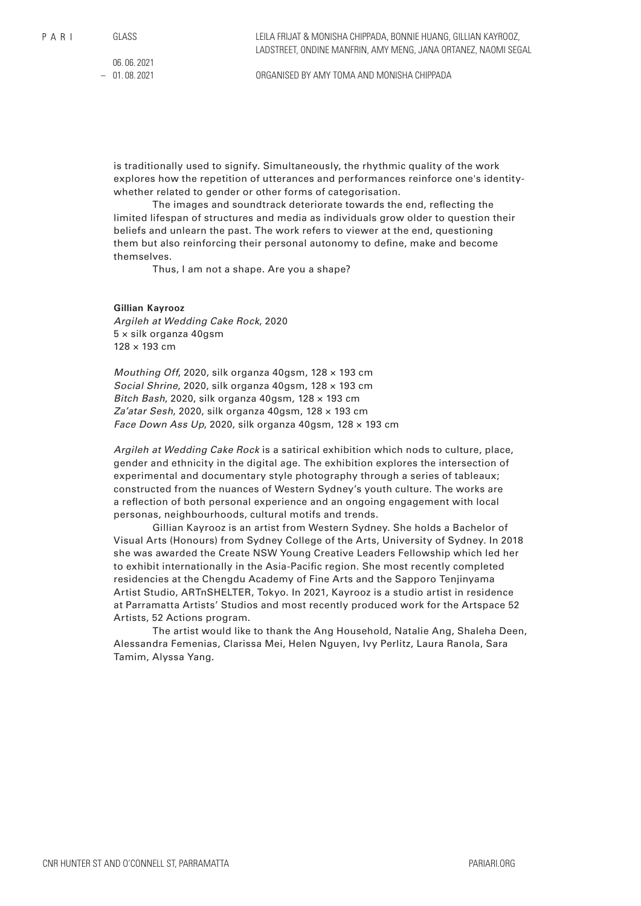06. 06. 2021  $-01.08.2021$ 

is traditionally used to signify. Simultaneously, the rhythmic quality of the work explores how the repetition of utterances and performances reinforce one's identitywhether related to gender or other forms of categorisation.

The images and soundtrack deteriorate towards the end, reflecting the limited lifespan of structures and media as individuals grow older to question their beliefs and unlearn the past. The work refers to viewer at the end, questioning them but also reinforcing their personal autonomy to define, make and become themselves.

Thus, I am not a shape. Are you a shape?

### **Gillian Kayrooz**

*Argileh at Wedding Cake Rock*, 2020 5 × silk organza 40gsm 128 × 193 cm

*Mouthing Off*, 2020, silk organza 40gsm, 128 × 193 cm *Social Shrine*, 2020, silk organza 40gsm, 128 × 193 cm *Bitch Bash*, 2020, silk organza 40gsm, 128 × 193 cm *Za'atar Sesh*, 2020, silk organza 40gsm, 128 × 193 cm *Face Down Ass Up*, 2020, silk organza 40gsm, 128 × 193 cm

*Argileh at Wedding Cake Rock* is a satirical exhibition which nods to culture, place, gender and ethnicity in the digital age. The exhibition explores the intersection of experimental and documentary style photography through a series of tableaux; constructed from the nuances of Western Sydney's youth culture. The works are a reflection of both personal experience and an ongoing engagement with local personas, neighbourhoods, cultural motifs and trends.

Gillian Kayrooz is an artist from Western Sydney. She holds a Bachelor of Visual Arts (Honours) from Sydney College of the Arts, University of Sydney. In 2018 she was awarded the Create NSW Young Creative Leaders Fellowship which led her to exhibit internationally in the Asia-Pacific region. She most recently completed residencies at the Chengdu Academy of Fine Arts and the Sapporo Tenjinyama Artist Studio, ARTnSHELTER, Tokyo. In 2021, Kayrooz is a studio artist in residence at Parramatta Artists' Studios and most recently produced work for the Artspace 52 Artists, 52 Actions program.

The artist would like to thank the Ang Household, Natalie Ang, Shaleha Deen, Alessandra Femenias, Clarissa Mei, Helen Nguyen, Ivy Perlitz, Laura Ranola, Sara Tamim, Alyssa Yang.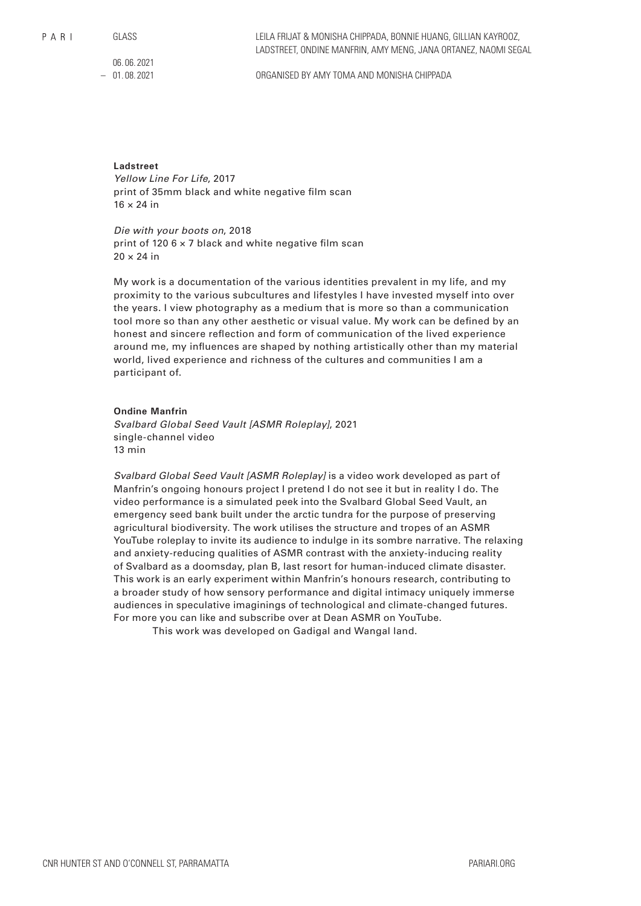$P$  A R I

GLASS

06. 06. 2021  $-01.08.2021$ 

ORGANISED BY AMY TOMA AND MONISHA CHIPPADA

# **Ladstreet**

*Yellow Line For Life*, 2017 print of 35mm black and white negative film scan  $16 \times 24$  in

*Die with your boots on*, 2018 print of 120 6 × 7 black and white negative film scan  $20 \times 24$  in

My work is a documentation of the various identities prevalent in my life, and my proximity to the various subcultures and lifestyles I have invested myself into over the years. I view photography as a medium that is more so than a communication tool more so than any other aesthetic or visual value. My work can be defined by an honest and sincere reflection and form of communication of the lived experience around me, my influences are shaped by nothing artistically other than my material world, lived experience and richness of the cultures and communities I am a participant of.

### **Ondine Manfrin**

*Svalbard Global Seed Vault [ASMR Roleplay]*, 2021 single-channel video 13 min

*Svalbard Global Seed Vault [ASMR Roleplay]* is a video work developed as part of Manfrin's ongoing honours project I pretend I do not see it but in reality I do. The video performance is a simulated peek into the Svalbard Global Seed Vault, an emergency seed bank built under the arctic tundra for the purpose of preserving agricultural biodiversity. The work utilises the structure and tropes of an ASMR YouTube roleplay to invite its audience to indulge in its sombre narrative. The relaxing and anxiety-reducing qualities of ASMR contrast with the anxiety-inducing reality of Svalbard as a doomsday, plan B, last resort for human-induced climate disaster. This work is an early experiment within Manfrin's honours research, contributing to a broader study of how sensory performance and digital intimacy uniquely immerse audiences in speculative imaginings of technological and climate-changed futures. For more you can like and subscribe over at Dean ASMR on YouTube.

This work was developed on Gadigal and Wangal land.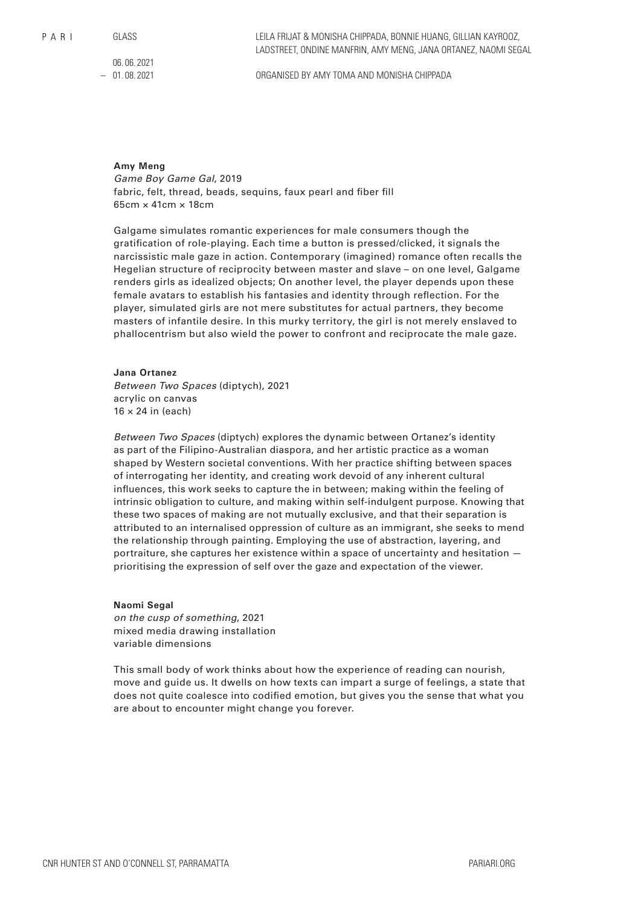$P$  A R I

GLASS

06. 06. 2021 – 01. 08. 2021

ORGANISED BY AMY TOMA AND MONISHA CHIPPADA

## **Amy Meng**

*Game Boy Game Gal*, 2019 fabric, felt, thread, beads, sequins, faux pearl and fiber fill 65cm × 41cm × 18cm

Galgame simulates romantic experiences for male consumers though the gratification of role-playing. Each time a button is pressed/clicked, it signals the narcissistic male gaze in action. Contemporary (imagined) romance often recalls the Hegelian structure of reciprocity between master and slave – on one level, Galgame renders girls as idealized objects; On another level, the player depends upon these female avatars to establish his fantasies and identity through reflection. For the player, simulated girls are not mere substitutes for actual partners, they become masters of infantile desire. In this murky territory, the girl is not merely enslaved to phallocentrism but also wield the power to confront and reciprocate the male gaze.

## **Jana Ortanez**

*Between Two Spaces* (diptych), 2021 acrylic on canvas  $16 \times 24$  in (each)

*Between Two Spaces* (diptych) explores the dynamic between Ortanez's identity as part of the Filipino-Australian diaspora, and her artistic practice as a woman shaped by Western societal conventions. With her practice shifting between spaces of interrogating her identity, and creating work devoid of any inherent cultural influences, this work seeks to capture the in between; making within the feeling of intrinsic obligation to culture, and making within self-indulgent purpose. Knowing that these two spaces of making are not mutually exclusive, and that their separation is attributed to an internalised oppression of culture as an immigrant, she seeks to mend the relationship through painting. Employing the use of abstraction, layering, and portraiture, she captures her existence within a space of uncertainty and hesitation prioritising the expression of self over the gaze and expectation of the viewer.

#### **Naomi Segal**

*on the cusp of something*, 2021 mixed media drawing installation variable dimensions

This small body of work thinks about how the experience of reading can nourish, move and guide us. It dwells on how texts can impart a surge of feelings, a state that does not quite coalesce into codified emotion, but gives you the sense that what you are about to encounter might change you forever.